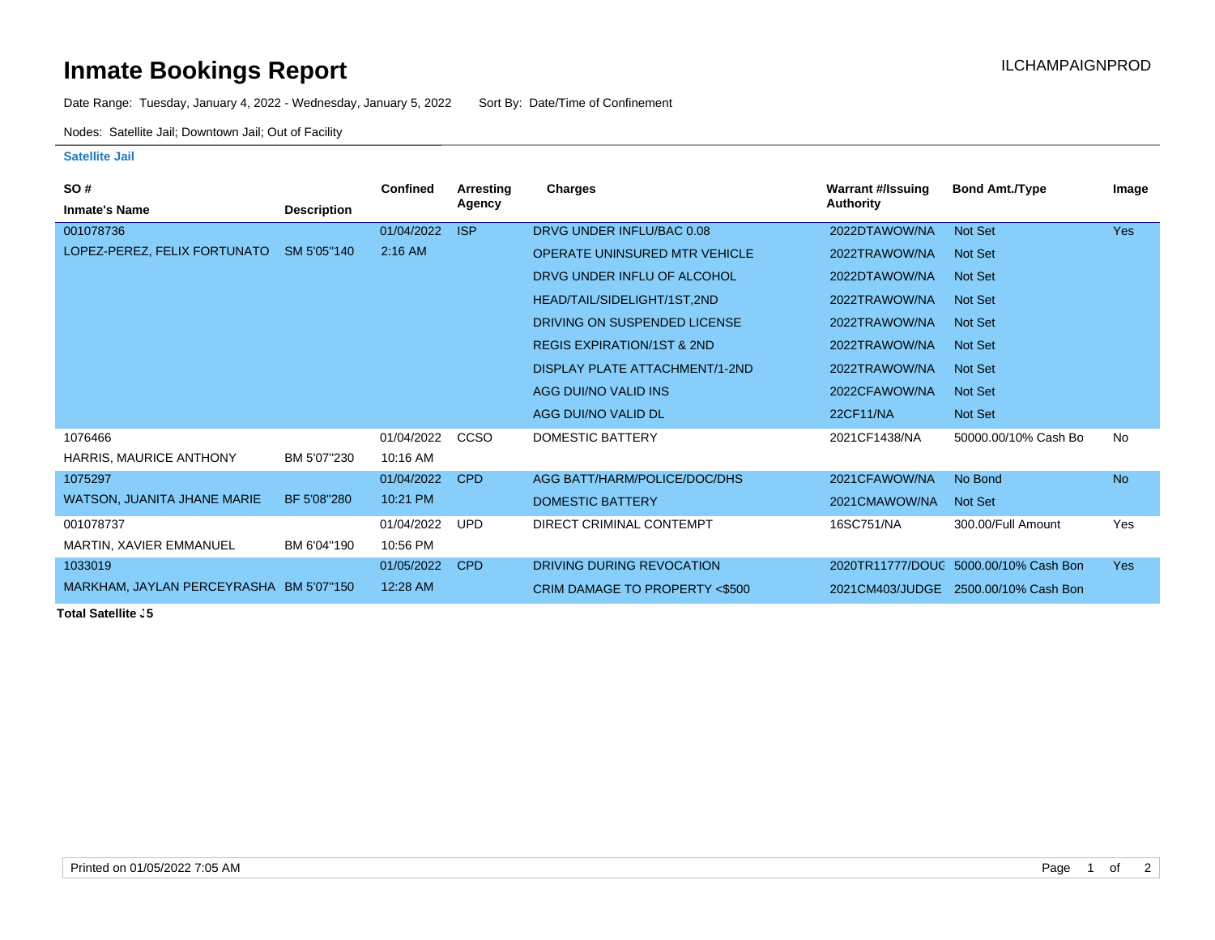## **Inmate Bookings Report Installation ILCHAMPAIGNPROD**

Date Range: Tuesday, January 4, 2022 - Wednesday, January 5, 2022 Sort By: Date/Time of Confinement

Nodes: Satellite Jail; Downtown Jail; Out of Facility

## **Satellite Jail**

| SO#                                     |                    | <b>Confined</b> | Arresting   | Charges                               | <b>Warrant #/Issuing</b> | <b>Bond Amt./Type</b>                 | Image      |
|-----------------------------------------|--------------------|-----------------|-------------|---------------------------------------|--------------------------|---------------------------------------|------------|
| <b>Inmate's Name</b>                    | <b>Description</b> |                 | Agency      |                                       | Authority                |                                       |            |
| 001078736                               |                    | 01/04/2022      | <b>ISP</b>  | DRVG UNDER INFLU/BAC 0.08             | 2022DTAWOW/NA            | Not Set                               | Yes        |
| LOPEZ-PEREZ, FELIX FORTUNATO            | SM 5'05"140        | $2:16$ AM       |             | <b>OPERATE UNINSURED MTR VEHICLE</b>  | 2022TRAWOW/NA            | Not Set                               |            |
|                                         |                    |                 |             | DRVG UNDER INFLU OF ALCOHOL           | 2022DTAWOW/NA            | <b>Not Set</b>                        |            |
|                                         |                    |                 |             | HEAD/TAIL/SIDELIGHT/1ST,2ND           | 2022TRAWOW/NA            | <b>Not Set</b>                        |            |
|                                         |                    |                 |             | DRIVING ON SUSPENDED LICENSE          | 2022TRAWOW/NA            | <b>Not Set</b>                        |            |
|                                         |                    |                 |             | <b>REGIS EXPIRATION/1ST &amp; 2ND</b> | 2022TRAWOW/NA            | <b>Not Set</b>                        |            |
|                                         |                    |                 |             | DISPLAY PLATE ATTACHMENT/1-2ND        | 2022TRAWOW/NA            | <b>Not Set</b>                        |            |
|                                         |                    |                 |             | AGG DUI/NO VALID INS                  | 2022CFAWOW/NA            | <b>Not Set</b>                        |            |
|                                         |                    |                 |             | AGG DUI/NO VALID DL                   | <b>22CF11/NA</b>         | Not Set                               |            |
| 1076466                                 |                    | 01/04/2022      | <b>CCSO</b> | <b>DOMESTIC BATTERY</b>               | 2021CF1438/NA            | 50000.00/10% Cash Bo                  | No         |
| HARRIS, MAURICE ANTHONY                 | BM 5'07"230        | 10:16 AM        |             |                                       |                          |                                       |            |
| 1075297                                 |                    | 01/04/2022      | <b>CPD</b>  | AGG BATT/HARM/POLICE/DOC/DHS          | 2021CFAWOW/NA            | No Bond                               | <b>No</b>  |
| <b>WATSON, JUANITA JHANE MARIE</b>      | BF 5'08"280        | 10:21 PM        |             | DOMESTIC BATTERY                      | 2021CMAWOW/NA            | <b>Not Set</b>                        |            |
| 001078737                               |                    | 01/04/2022      | <b>UPD</b>  | DIRECT CRIMINAL CONTEMPT              | 16SC751/NA               | 300.00/Full Amount                    | Yes        |
| MARTIN, XAVIER EMMANUEL                 | BM 6'04"190        | 10:56 PM        |             |                                       |                          |                                       |            |
| 1033019                                 |                    | 01/05/2022      | <b>CPD</b>  | DRIVING DURING REVOCATION             |                          | 2020TR11777/DOUC 5000.00/10% Cash Bon | <b>Yes</b> |
| MARKHAM, JAYLAN PERCEYRASHA BM 5'07"150 |                    | 12:28 AM        |             | CRIM DAMAGE TO PROPERTY <\$500        | 2021CM403/JUDGE          | 2500.00/10% Cash Bon                  |            |

**Total Satellite J5**